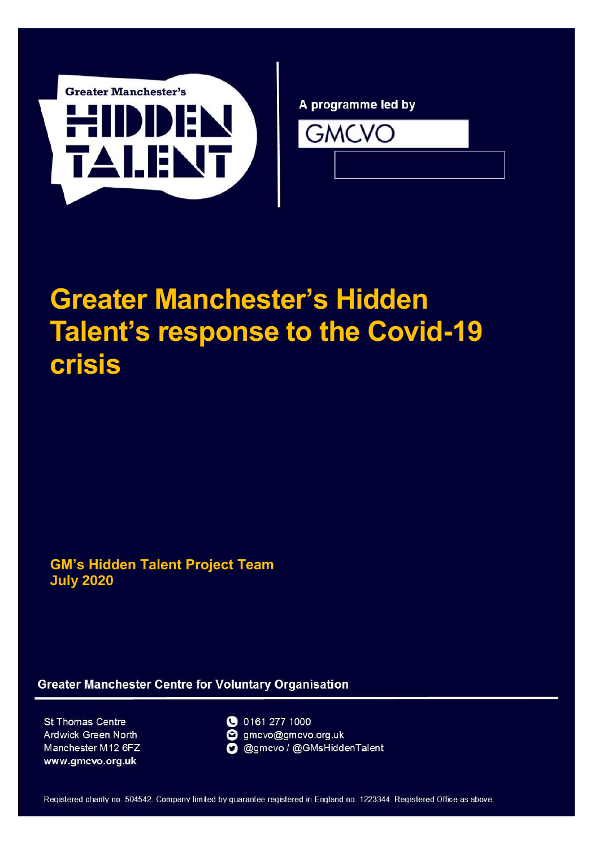<span id="page-0-0"></span>

A programme led by



# **Greater Manchester's Hidden Talent's response to the Covid-19 crisis**

**GM's Hidden Talent Project Team July 2020**

**Greater Manchester Centre for Voluntary Organisation** 

St Thomas Centre Ardwick Green North Manchester M12 6FZ www.gmcvo.org.uk



gmcvo@gmcvo.org.uk @ @gmcvo / @GMsHiddenTalent

Registered charity no. 504542. Company limited by guarantee registered in England no. 1223344. Registered Office as above.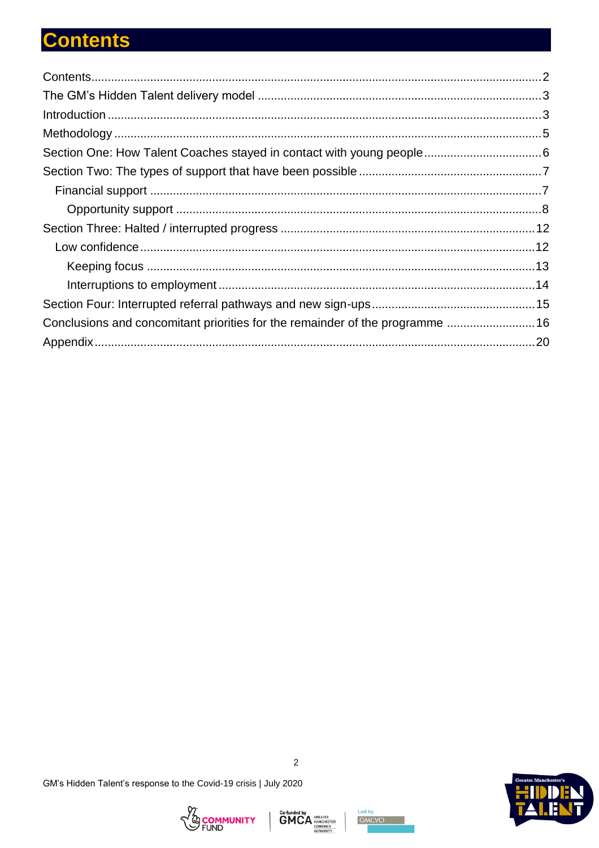# <span id="page-1-0"></span>**Contents**

| Conclusions and concomitant priorities for the remainder of the programme  16 |  |
|-------------------------------------------------------------------------------|--|
|                                                                               |  |







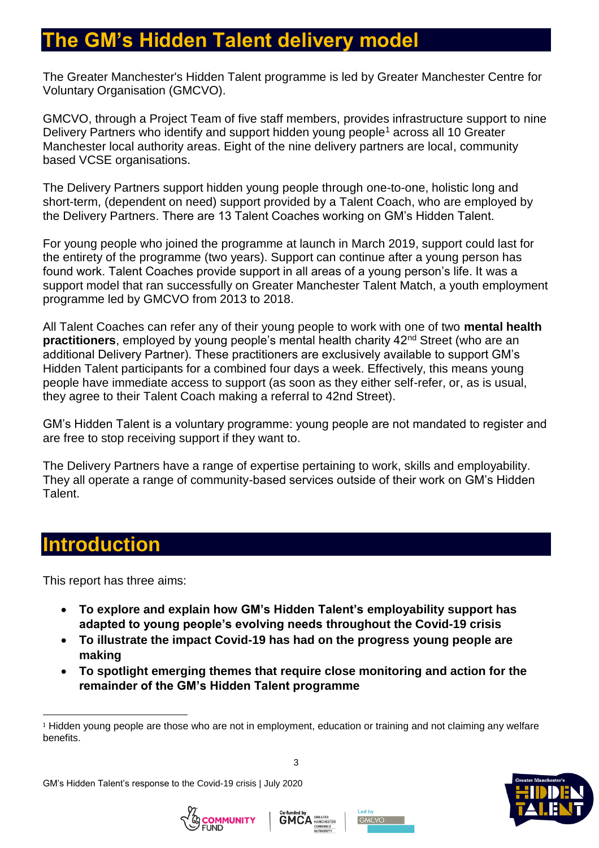### <span id="page-2-0"></span>**GM's Hidden Talent delivery model**

The Greater Manchester's Hidden Talent programme is led by Greater Manchester Centre for Voluntary Organisation (GMCVO).

GMCVO, through a Project Team of five staff members, provides infrastructure support to nine Delivery Partners who identify and support hidden young people<sup>1</sup> across all 10 Greater Manchester local authority areas. Eight of the nine delivery partners are local, community based VCSE organisations.

The Delivery Partners support hidden young people through one-to-one, holistic long and short-term, (dependent on need) support provided by a Talent Coach, who are employed by the Delivery Partners. There are 13 Talent Coaches working on GM's Hidden Talent.

For young people who joined the programme at launch in March 2019, support could last for the entirety of the programme (two years). Support can continue after a young person has found work. Talent Coaches provide support in all areas of a young person's life. It was a support model that ran successfully on Greater Manchester Talent Match, a youth employment programme led by GMCVO from 2013 to 2018.

All Talent Coaches can refer any of their young people to work with one of two **mental health practitioners**, employed by young people's mental health charity 42<sup>nd</sup> Street (who are an additional Delivery Partner). These practitioners are exclusively available to support GM's Hidden Talent participants for a combined four days a week. Effectively, this means young people have immediate access to support (as soon as they either self-refer, or, as is usual, they agree to their Talent Coach making a referral to 42nd Street).

GM's Hidden Talent is a voluntary programme: young people are not mandated to register and are free to stop receiving support if they want to.

The Delivery Partners have a range of expertise pertaining to work, skills and employability. They all operate a range of community-based services outside of their work on GM's Hidden Talent.

### <span id="page-2-1"></span>**Introduction**

l

This report has three aims:

- **To explore and explain how GM's Hidden Talent's employability support has adapted to young people's evolving needs throughout the Covid-19 crisis**
- **To illustrate the impact Covid-19 has had on the progress young people are making**
- **To spotlight emerging themes that require close monitoring and action for the remainder of the GM's Hidden Talent programme**









<sup>&</sup>lt;sup>1</sup> Hidden young people are those who are not in employment, education or training and not claiming any welfare benefits.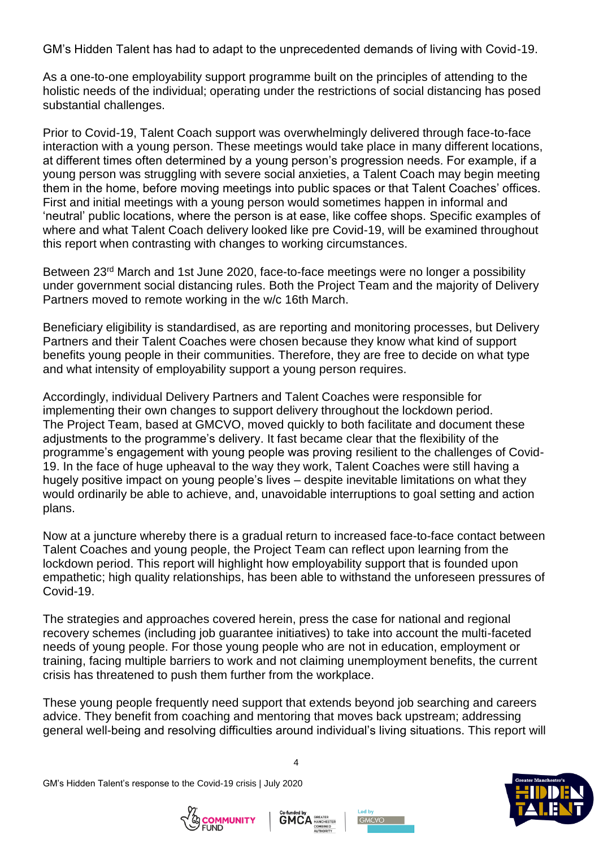GM's Hidden Talent has had to adapt to the unprecedented demands of living with Covid-19.

As a one-to-one employability support programme built on the principles of attending to the holistic needs of the individual; operating under the restrictions of social distancing has posed substantial challenges.

Prior to Covid-19, Talent Coach support was overwhelmingly delivered through face-to-face interaction with a young person. These meetings would take place in many different locations, at different times often determined by a young person's progression needs. For example, if a young person was struggling with severe social anxieties, a Talent Coach may begin meeting them in the home, before moving meetings into public spaces or that Talent Coaches' offices. First and initial meetings with a young person would sometimes happen in informal and 'neutral' public locations, where the person is at ease, like coffee shops. Specific examples of where and what Talent Coach delivery looked like pre Covid-19, will be examined throughout this report when contrasting with changes to working circumstances.

Between 23<sup>rd</sup> March and 1st June 2020, face-to-face meetings were no longer a possibility under government social distancing rules. Both the Project Team and the majority of Delivery Partners moved to remote working in the w/c 16th March.

Beneficiary eligibility is standardised, as are reporting and monitoring processes, but Delivery Partners and their Talent Coaches were chosen because they know what kind of support benefits young people in their communities. Therefore, they are free to decide on what type and what intensity of employability support a young person requires.

Accordingly, individual Delivery Partners and Talent Coaches were responsible for implementing their own changes to support delivery throughout the lockdown period. The Project Team, based at GMCVO, moved quickly to both facilitate and document these adjustments to the programme's delivery. It fast became clear that the flexibility of the programme's engagement with young people was proving resilient to the challenges of Covid-19. In the face of huge upheaval to the way they work, Talent Coaches were still having a hugely positive impact on young people's lives – despite inevitable limitations on what they would ordinarily be able to achieve, and, unavoidable interruptions to goal setting and action plans.

Now at a juncture whereby there is a gradual return to increased face-to-face contact between Talent Coaches and young people, the Project Team can reflect upon learning from the lockdown period. This report will highlight how employability support that is founded upon empathetic; high quality relationships, has been able to withstand the unforeseen pressures of Covid-19.

The strategies and approaches covered herein, press the case for national and regional recovery schemes (including job guarantee initiatives) to take into account the multi-faceted needs of young people. For those young people who are not in education, employment or training, facing multiple barriers to work and not claiming unemployment benefits, the current crisis has threatened to push them further from the workplace.

These young people frequently need support that extends beyond job searching and careers advice. They benefit from coaching and mentoring that moves back upstream; addressing general well-being and resolving difficulties around individual's living situations. This report will

GM's Hidden Talent's response to the Covid-19 crisis | July 2020







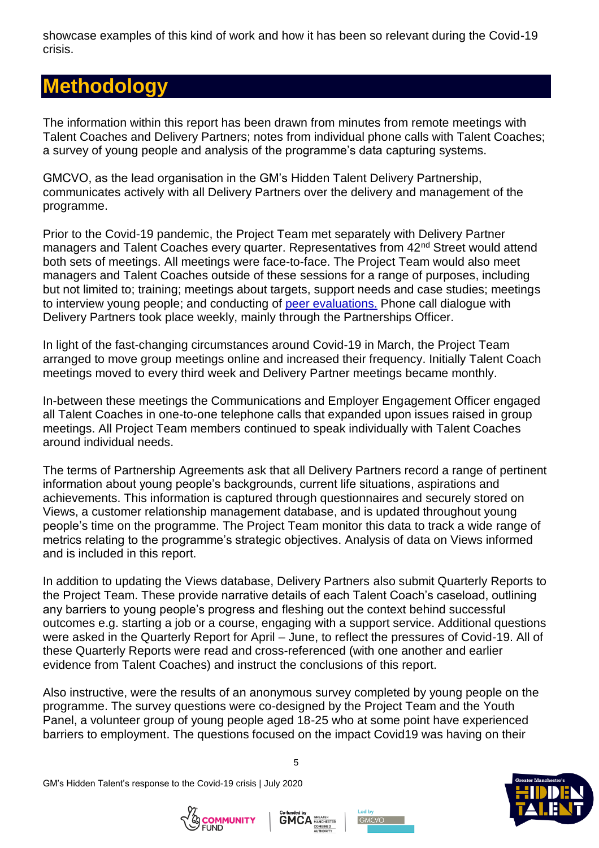showcase examples of this kind of work and how it has been so relevant during the Covid-19 crisis.

# <span id="page-4-0"></span>**Methodology**

The information within this report has been drawn from minutes from remote meetings with Talent Coaches and Delivery Partners; notes from individual phone calls with Talent Coaches; a survey of young people and analysis of the programme's data capturing systems.

GMCVO, as the lead organisation in the GM's Hidden Talent Delivery Partnership, communicates actively with all Delivery Partners over the delivery and management of the programme.

Prior to the Covid-19 pandemic, the Project Team met separately with Delivery Partner managers and Talent Coaches every quarter. Representatives from 42<sup>nd</sup> Street would attend both sets of meetings. All meetings were face-to-face. The Project Team would also meet managers and Talent Coaches outside of these sessions for a range of purposes, including but not limited to; training; meetings about targets, support needs and case studies; meetings to interview young people; and conducting of [peer evaluations.](https://www.gmcvo.org.uk/news/gms-hidden-talent-youth-panel-conclude-first-round-peer-evaluations) Phone call dialogue with Delivery Partners took place weekly, mainly through the Partnerships Officer.

In light of the fast-changing circumstances around Covid-19 in March, the Project Team arranged to move group meetings online and increased their frequency. Initially Talent Coach meetings moved to every third week and Delivery Partner meetings became monthly.

In-between these meetings the Communications and Employer Engagement Officer engaged all Talent Coaches in one-to-one telephone calls that expanded upon issues raised in group meetings. All Project Team members continued to speak individually with Talent Coaches around individual needs.

The terms of Partnership Agreements ask that all Delivery Partners record a range of pertinent information about young people's backgrounds, current life situations, aspirations and achievements. This information is captured through questionnaires and securely stored on Views, a customer relationship management database, and is updated throughout young people's time on the programme. The Project Team monitor this data to track a wide range of metrics relating to the programme's strategic objectives. Analysis of data on Views informed and is included in this report.

In addition to updating the Views database, Delivery Partners also submit Quarterly Reports to the Project Team. These provide narrative details of each Talent Coach's caseload, outlining any barriers to young people's progress and fleshing out the context behind successful outcomes e.g. starting a job or a course, engaging with a support service. Additional questions were asked in the Quarterly Report for April – June, to reflect the pressures of Covid-19. All of these Quarterly Reports were read and cross-referenced (with one another and earlier evidence from Talent Coaches) and instruct the conclusions of this report.

Also instructive, were the results of an anonymous survey completed by young people on the programme. The survey questions were co-designed by the Project Team and the Youth Panel, a volunteer group of young people aged 18-25 who at some point have experienced barriers to employment. The questions focused on the impact Covid19 was having on their

GM's Hidden Talent's response to the Covid-19 crisis | July 2020







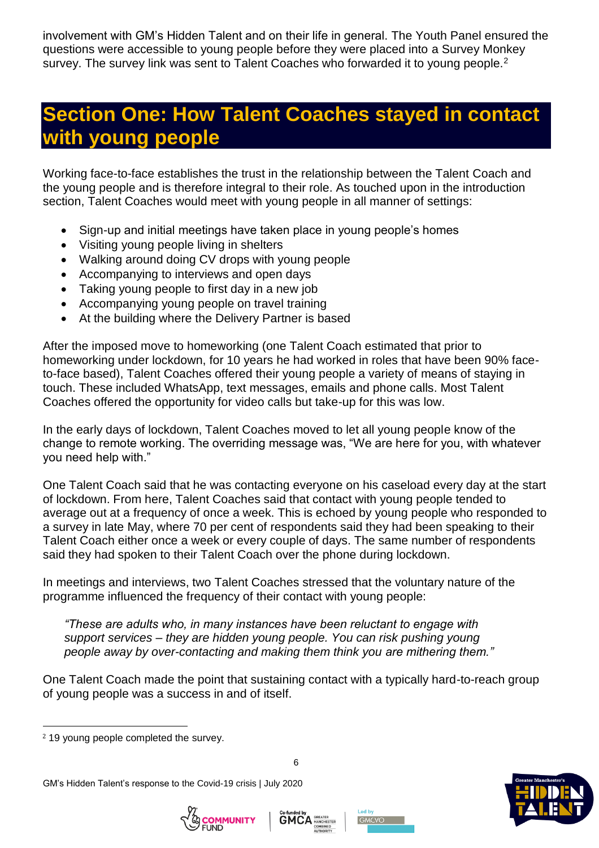involvement with GM's Hidden Talent and on their life in general. The Youth Panel ensured the questions were accessible to young people before they were placed into a Survey Monkey survey. The survey link was sent to Talent Coaches who forwarded it to young people.<sup>2</sup>

# <span id="page-5-0"></span>**Section One: How Talent Coaches stayed in contact with young people**

Working face-to-face establishes the trust in the relationship between the Talent Coach and the young people and is therefore integral to their role. As touched upon in the introduction section, Talent Coaches would meet with young people in all manner of settings:

- Sign-up and initial meetings have taken place in young people's homes
- Visiting young people living in shelters
- Walking around doing CV drops with young people
- Accompanying to interviews and open days
- Taking young people to first day in a new job
- Accompanying young people on travel training
- At the building where the Delivery Partner is based

After the imposed move to homeworking (one Talent Coach estimated that prior to homeworking under lockdown, for 10 years he had worked in roles that have been 90% faceto-face based), Talent Coaches offered their young people a variety of means of staying in touch. These included WhatsApp, text messages, emails and phone calls. Most Talent Coaches offered the opportunity for video calls but take-up for this was low.

In the early days of lockdown, Talent Coaches moved to let all young people know of the change to remote working. The overriding message was, "We are here for you, with whatever you need help with."

One Talent Coach said that he was contacting everyone on his caseload every day at the start of lockdown. From here, Talent Coaches said that contact with young people tended to average out at a frequency of once a week. This is echoed by young people who responded to a survey in late May, where 70 per cent of respondents said they had been speaking to their Talent Coach either once a week or every couple of days. The same number of respondents said they had spoken to their Talent Coach over the phone during lockdown.

In meetings and interviews, two Talent Coaches stressed that the voluntary nature of the programme influenced the frequency of their contact with young people:

*"These are adults who, in many instances have been reluctant to engage with support services – they are hidden young people. You can risk pushing young people away by over-contacting and making them think you are mithering them."*

One Talent Coach made the point that sustaining contact with a typically hard-to-reach group of young people was a success in and of itself.

 $\overline{a}$ 









<sup>2</sup> 19 young people completed the survey.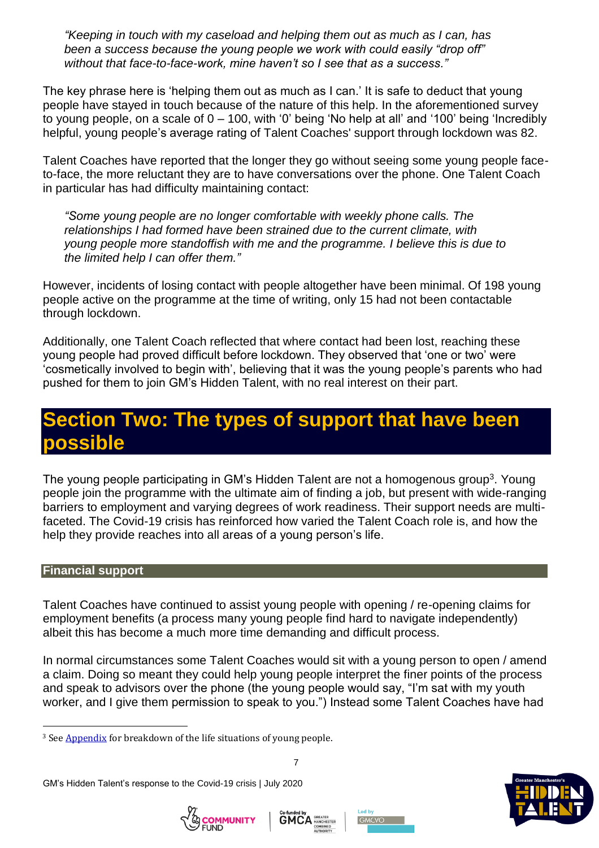*"Keeping in touch with my caseload and helping them out as much as I can, has been a success because the young people we work with could easily "drop off" without that face-to-face-work, mine haven't so I see that as a success."*

The key phrase here is 'helping them out as much as I can.' It is safe to deduct that young people have stayed in touch because of the nature of this help. In the aforementioned survey to young people, on a scale of  $0 - 100$ , with '0' being 'No help at all' and '100' being 'Incredibly helpful, young people's average rating of Talent Coaches' support through lockdown was 82.

Talent Coaches have reported that the longer they go without seeing some young people faceto-face, the more reluctant they are to have conversations over the phone. One Talent Coach in particular has had difficulty maintaining contact:

*"Some young people are no longer comfortable with weekly phone calls. The relationships I had formed have been strained due to the current climate, with young people more standoffish with me and the programme. I believe this is due to the limited help I can offer them."*

However, incidents of losing contact with people altogether have been minimal. Of 198 young people active on the programme at the time of writing, only 15 had not been contactable through lockdown.

Additionally, one Talent Coach reflected that where contact had been lost, reaching these young people had proved difficult before lockdown. They observed that 'one or two' were 'cosmetically involved to begin with', believing that it was the young people's parents who had pushed for them to join GM's Hidden Talent, with no real interest on their part.

## <span id="page-6-0"></span>**Section Two: The types of support that have been possible**

The young people participating in GM's Hidden Talent are not a homogenous group<sup>3</sup>. Young people join the programme with the ultimate aim of finding a job, but present with wide-ranging barriers to employment and varying degrees of work readiness. Their support needs are multifaceted. The Covid-19 crisis has reinforced how varied the Talent Coach role is, and how the help they provide reaches into all areas of a young person's life.

#### <span id="page-6-1"></span>**Financial support**

 $\overline{a}$ 

Talent Coaches have continued to assist young people with opening / re-opening claims for employment benefits (a process many young people find hard to navigate independently) albeit this has become a much more time demanding and difficult process.

In normal circumstances some Talent Coaches would sit with a young person to open / amend a claim. Doing so meant they could help young people interpret the finer points of the process and speak to advisors over the phone (the young people would say, "I'm sat with my youth worker, and I give them permission to speak to you.") Instead some Talent Coaches have had

GM's Hidden Talent's response to the Covid-19 crisis | July 2020









<sup>&</sup>lt;sup>3</sup> See **Appendix** for breakdown of the life situations of young people.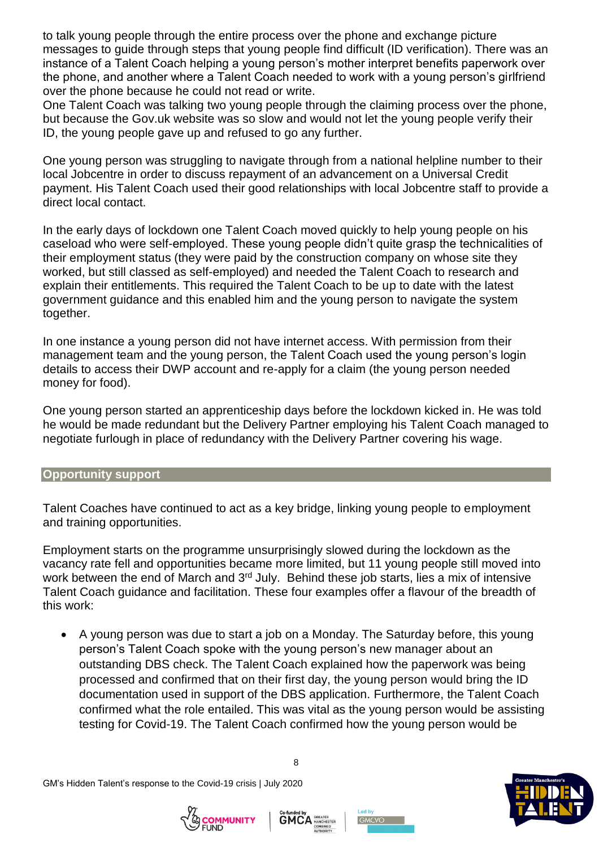to talk young people through the entire process over the phone and exchange picture messages to guide through steps that young people find difficult (ID verification). There was an instance of a Talent Coach helping a young person's mother interpret benefits paperwork over the phone, and another where a Talent Coach needed to work with a young person's girlfriend over the phone because he could not read or write.

One Talent Coach was talking two young people through the claiming process over the phone, but because the Gov.uk website was so slow and would not let the young people verify their ID, the young people gave up and refused to go any further.

One young person was struggling to navigate through from a national helpline number to their local Jobcentre in order to discuss repayment of an advancement on a Universal Credit payment. His Talent Coach used their good relationships with local Jobcentre staff to provide a direct local contact.

In the early days of lockdown one Talent Coach moved quickly to help young people on his caseload who were self-employed. These young people didn't quite grasp the technicalities of their employment status (they were paid by the construction company on whose site they worked, but still classed as self-employed) and needed the Talent Coach to research and explain their entitlements. This required the Talent Coach to be up to date with the latest government guidance and this enabled him and the young person to navigate the system together.

In one instance a young person did not have internet access. With permission from their management team and the young person, the Talent Coach used the young person's login details to access their DWP account and re-apply for a claim (the young person needed money for food).

One young person started an apprenticeship days before the lockdown kicked in. He was told he would be made redundant but the Delivery Partner employing his Talent Coach managed to negotiate furlough in place of redundancy with the Delivery Partner covering his wage.

#### <span id="page-7-0"></span>**Opportunity support**

Talent Coaches have continued to act as a key bridge, linking young people to employment and training opportunities.

Employment starts on the programme unsurprisingly slowed during the lockdown as the vacancy rate fell and opportunities became more limited, but 11 young people still moved into work between the end of March and 3<sup>rd</sup> July. Behind these job starts, lies a mix of intensive Talent Coach guidance and facilitation. These four examples offer a flavour of the breadth of this work:

 A young person was due to start a job on a Monday. The Saturday before, this young person's Talent Coach spoke with the young person's new manager about an outstanding DBS check. The Talent Coach explained how the paperwork was being processed and confirmed that on their first day, the young person would bring the ID documentation used in support of the DBS application. Furthermore, the Talent Coach confirmed what the role entailed. This was vital as the young person would be assisting testing for Covid-19. The Talent Coach confirmed how the young person would be







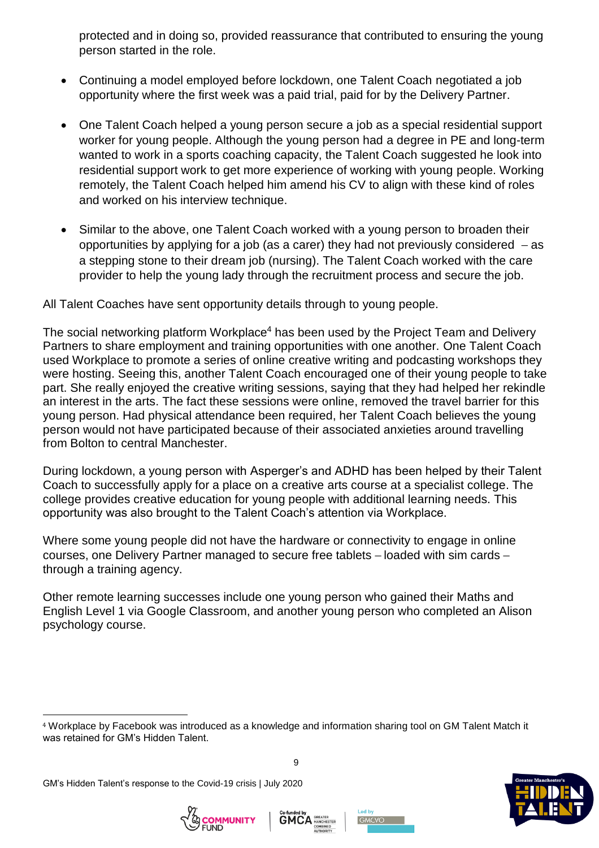protected and in doing so, provided reassurance that contributed to ensuring the young person started in the role.

- Continuing a model employed before lockdown, one Talent Coach negotiated a job opportunity where the first week was a paid trial, paid for by the Delivery Partner.
- One Talent Coach helped a young person secure a job as a special residential support worker for young people. Although the young person had a degree in PE and long-term wanted to work in a sports coaching capacity, the Talent Coach suggested he look into residential support work to get more experience of working with young people. Working remotely, the Talent Coach helped him amend his CV to align with these kind of roles and worked on his interview technique.
- Similar to the above, one Talent Coach worked with a young person to broaden their opportunities by applying for a job (as a carer) they had not previously considered  $-$  as a stepping stone to their dream job (nursing). The Talent Coach worked with the care provider to help the young lady through the recruitment process and secure the job.

All Talent Coaches have sent opportunity details through to young people.

The social networking platform Workplace<sup>4</sup> has been used by the Project Team and Delivery Partners to share employment and training opportunities with one another. One Talent Coach used Workplace to promote a series of online creative writing and podcasting workshops they were hosting. Seeing this, another Talent Coach encouraged one of their young people to take part. She really enjoyed the creative writing sessions, saying that they had helped her rekindle an interest in the arts. The fact these sessions were online, removed the travel barrier for this young person. Had physical attendance been required, her Talent Coach believes the young person would not have participated because of their associated anxieties around travelling from Bolton to central Manchester.

During lockdown, a young person with Asperger's and ADHD has been helped by their Talent Coach to successfully apply for a place on a creative arts course at a specialist college. The college provides creative education for young people with additional learning needs. This opportunity was also brought to the Talent Coach's attention via Workplace.

Where some young people did not have the hardware or connectivity to engage in online courses, one Delivery Partner managed to secure free tablets – loaded with sim cards – through a training agency.

Other remote learning successes include one young person who gained their Maths and English Level 1 via Google Classroom, and another young person who completed an Alison psychology course.

9



l





<sup>4</sup> Workplace by Facebook was introduced as a knowledge and information sharing tool on GM Talent Match it was retained for GM's Hidden Talent.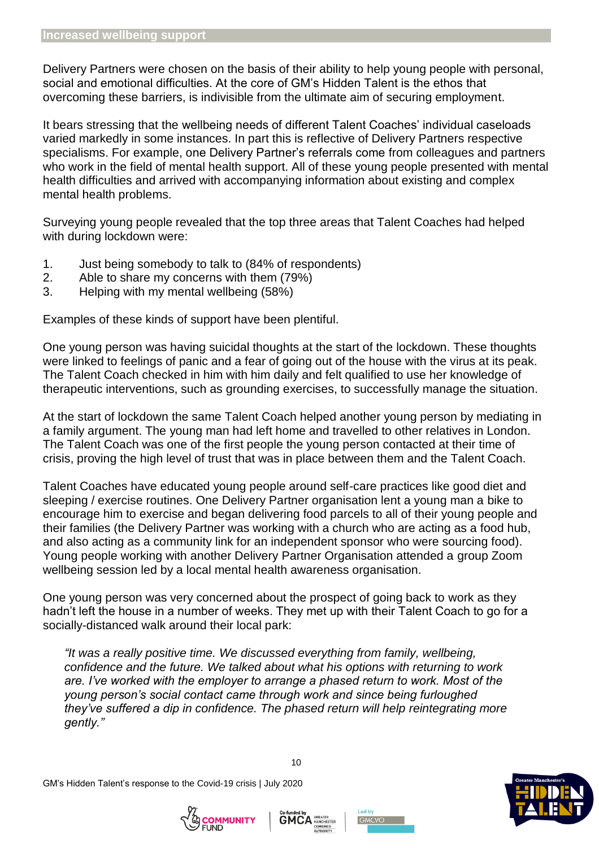Delivery Partners were chosen on the basis of their ability to help young people with personal, social and emotional difficulties. At the core of GM's Hidden Talent is the ethos that overcoming these barriers, is indivisible from the ultimate aim of securing employment.

It bears stressing that the wellbeing needs of different Talent Coaches' individual caseloads varied markedly in some instances. In part this is reflective of Delivery Partners respective specialisms. For example, one Delivery Partner's referrals come from colleagues and partners who work in the field of mental health support. All of these young people presented with mental health difficulties and arrived with accompanying information about existing and complex mental health problems.

Surveying young people revealed that the top three areas that Talent Coaches had helped with during lockdown were:

- 1. Just being somebody to talk to (84% of respondents)
- 2. Able to share my concerns with them (79%)
- 3. Helping with my mental wellbeing (58%)

Examples of these kinds of support have been plentiful.

One young person was having suicidal thoughts at the start of the lockdown. These thoughts were linked to feelings of panic and a fear of going out of the house with the virus at its peak. The Talent Coach checked in him with him daily and felt qualified to use her knowledge of therapeutic interventions, such as grounding exercises, to successfully manage the situation.

At the start of lockdown the same Talent Coach helped another young person by mediating in a family argument. The young man had left home and travelled to other relatives in London. The Talent Coach was one of the first people the young person contacted at their time of crisis, proving the high level of trust that was in place between them and the Talent Coach.

Talent Coaches have educated young people around self-care practices like good diet and sleeping / exercise routines. One Delivery Partner organisation lent a young man a bike to encourage him to exercise and began delivering food parcels to all of their young people and their families (the Delivery Partner was working with a church who are acting as a food hub, and also acting as a community link for an independent sponsor who were sourcing food). Young people working with another Delivery Partner Organisation attended a group Zoom wellbeing session led by a local mental health awareness organisation.

One young person was very concerned about the prospect of going back to work as they hadn't left the house in a number of weeks. They met up with their Talent Coach to go for a socially-distanced walk around their local park:

*"It was a really positive time. We discussed everything from family, wellbeing, confidence and the future. We talked about what his options with returning to work are. I've worked with the employer to arrange a phased return to work. Most of the young person's social contact came through work and since being furloughed they've suffered a dip in confidence. The phased return will help reintegrating more gently."*







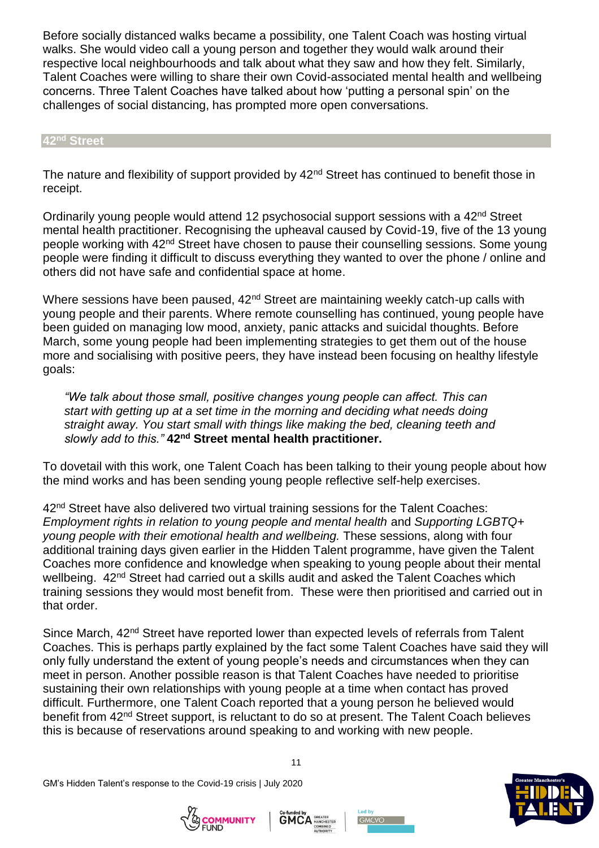Before socially distanced walks became a possibility, one Talent Coach was hosting virtual walks. She would video call a young person and together they would walk around their respective local neighbourhoods and talk about what they saw and how they felt. Similarly, Talent Coaches were willing to share their own Covid-associated mental health and wellbeing concerns. Three Talent Coaches have talked about how 'putting a personal spin' on the challenges of social distancing, has prompted more open conversations.

**42nd Street**

The nature and flexibility of support provided by 42<sup>nd</sup> Street has continued to benefit those in receipt.

Ordinarily young people would attend 12 psychosocial support sessions with a 42<sup>nd</sup> Street mental health practitioner. Recognising the upheaval caused by Covid-19, five of the 13 young people working with 42nd Street have chosen to pause their counselling sessions. Some young people were finding it difficult to discuss everything they wanted to over the phone / online and others did not have safe and confidential space at home.

Where sessions have been paused, 42<sup>nd</sup> Street are maintaining weekly catch-up calls with young people and their parents. Where remote counselling has continued, young people have been guided on managing low mood, anxiety, panic attacks and suicidal thoughts. Before March, some young people had been implementing strategies to get them out of the house more and socialising with positive peers, they have instead been focusing on healthy lifestyle goals:

*"We talk about those small, positive changes young people can affect. This can start with getting up at a set time in the morning and deciding what needs doing straight away. You start small with things like making the bed, cleaning teeth and slowly add to this."* **42nd Street mental health practitioner.**

To dovetail with this work, one Talent Coach has been talking to their young people about how the mind works and has been sending young people reflective self-help exercises.

42<sup>nd</sup> Street have also delivered two virtual training sessions for the Talent Coaches: *Employment rights in relation to young people and mental health* and *Supporting LGBTQ+ young people with their emotional health and wellbeing.* These sessions, along with four additional training days given earlier in the Hidden Talent programme, have given the Talent Coaches more confidence and knowledge when speaking to young people about their mental wellbeing. 42<sup>nd</sup> Street had carried out a skills audit and asked the Talent Coaches which training sessions they would most benefit from. These were then prioritised and carried out in that order.

Since March, 42<sup>nd</sup> Street have reported lower than expected levels of referrals from Talent Coaches. This is perhaps partly explained by the fact some Talent Coaches have said they will only fully understand the extent of young people's needs and circumstances when they can meet in person. Another possible reason is that Talent Coaches have needed to prioritise sustaining their own relationships with young people at a time when contact has proved difficult. Furthermore, one Talent Coach reported that a young person he believed would benefit from 42nd Street support, is reluctant to do so at present. The Talent Coach believes this is because of reservations around speaking to and working with new people.

GM's Hidden Talent's response to the Covid-19 crisis | July 2020







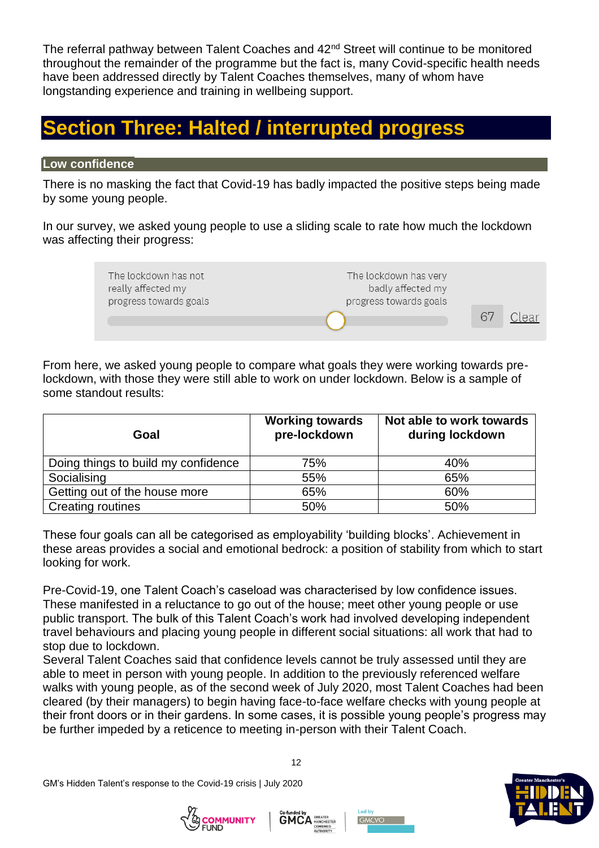The referral pathway between Talent Coaches and 42<sup>nd</sup> Street will continue to be monitored throughout the remainder of the programme but the fact is, many Covid-specific health needs have been addressed directly by Talent Coaches themselves, many of whom have longstanding experience and training in wellbeing support.

# <span id="page-11-0"></span>**Section Three: Halted / interrupted progress**

#### <span id="page-11-1"></span>**Low confidence**

There is no masking the fact that Covid-19 has badly impacted the positive steps being made by some young people.

In our survey, we asked young people to use a sliding scale to rate how much the lockdown was affecting their progress:



From here, we asked young people to compare what goals they were working towards prelockdown, with those they were still able to work on under lockdown. Below is a sample of some standout results:

| Goal                                | <b>Working towards</b><br>pre-lockdown | Not able to work towards<br>during lockdown |
|-------------------------------------|----------------------------------------|---------------------------------------------|
| Doing things to build my confidence | 75%                                    | 40%                                         |
| Socialising                         | 55%                                    | 65%                                         |
| Getting out of the house more       | 65%                                    | 60%                                         |
| <b>Creating routines</b>            | 50%                                    | 50%                                         |

These four goals can all be categorised as employability 'building blocks'. Achievement in these areas provides a social and emotional bedrock: a position of stability from which to start looking for work.

Pre-Covid-19, one Talent Coach's caseload was characterised by low confidence issues. These manifested in a reluctance to go out of the house; meet other young people or use public transport. The bulk of this Talent Coach's work had involved developing independent travel behaviours and placing young people in different social situations: all work that had to stop due to lockdown.

Several Talent Coaches said that confidence levels cannot be truly assessed until they are able to meet in person with young people. In addition to the previously referenced welfare walks with young people, as of the second week of July 2020, most Talent Coaches had been cleared (by their managers) to begin having face-to-face welfare checks with young people at their front doors or in their gardens. In some cases, it is possible young people's progress may be further impeded by a reticence to meeting in-person with their Talent Coach.







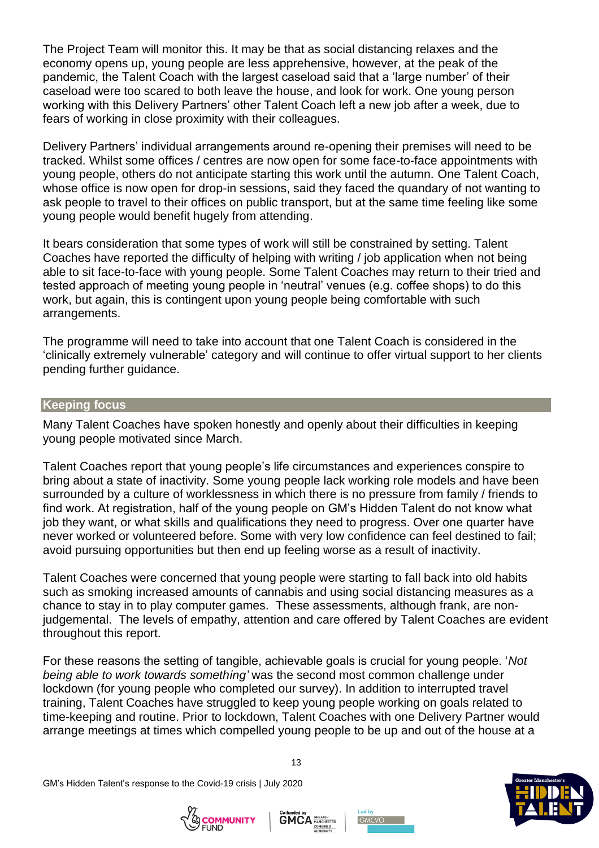The Project Team will monitor this. It may be that as social distancing relaxes and the economy opens up, young people are less apprehensive, however, at the peak of the pandemic, the Talent Coach with the largest caseload said that a 'large number' of their caseload were too scared to both leave the house, and look for work. One young person working with this Delivery Partners' other Talent Coach left a new job after a week, due to fears of working in close proximity with their colleagues.

Delivery Partners' individual arrangements around re-opening their premises will need to be tracked. Whilst some offices / centres are now open for some face-to-face appointments with young people, others do not anticipate starting this work until the autumn. One Talent Coach, whose office is now open for drop-in sessions, said they faced the quandary of not wanting to ask people to travel to their offices on public transport, but at the same time feeling like some young people would benefit hugely from attending.

It bears consideration that some types of work will still be constrained by setting. Talent Coaches have reported the difficulty of helping with writing / job application when not being able to sit face-to-face with young people. Some Talent Coaches may return to their tried and tested approach of meeting young people in 'neutral' venues (e.g. coffee shops) to do this work, but again, this is contingent upon young people being comfortable with such arrangements.

The programme will need to take into account that one Talent Coach is considered in the 'clinically extremely vulnerable' category and will continue to offer virtual support to her clients pending further guidance.

#### <span id="page-12-0"></span>**Keeping focus**

Many Talent Coaches have spoken honestly and openly about their difficulties in keeping young people motivated since March.

Talent Coaches report that young people's life circumstances and experiences conspire to bring about a state of inactivity. Some young people lack working role models and have been surrounded by a culture of worklessness in which there is no pressure from family / friends to find work. At registration, half of the young people on GM's Hidden Talent do not know what job they want, or what skills and qualifications they need to progress. Over one quarter have never worked or volunteered before. Some with very low confidence can feel destined to fail; avoid pursuing opportunities but then end up feeling worse as a result of inactivity.

Talent Coaches were concerned that young people were starting to fall back into old habits such as smoking increased amounts of cannabis and using social distancing measures as a chance to stay in to play computer games. These assessments, although frank, are nonjudgemental. The levels of empathy, attention and care offered by Talent Coaches are evident throughout this report.

For these reasons the setting of tangible, achievable goals is crucial for young people. '*Not being able to work towards something'* was the second most common challenge under lockdown (for young people who completed our survey). In addition to interrupted travel training, Talent Coaches have struggled to keep young people working on goals related to time-keeping and routine. Prior to lockdown, Talent Coaches with one Delivery Partner would arrange meetings at times which compelled young people to be up and out of the house at a

GM's Hidden Talent's response to the Covid-19 crisis | July 2020







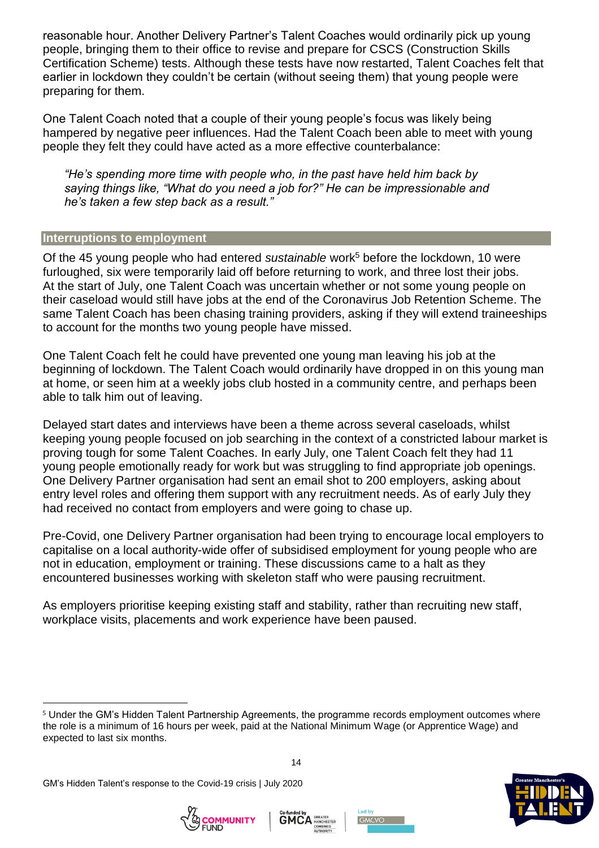reasonable hour. Another Delivery Partner's Talent Coaches would ordinarily pick up young people, bringing them to their office to revise and prepare for CSCS (Construction Skills Certification Scheme) tests. Although these tests have now restarted, Talent Coaches felt that earlier in lockdown they couldn't be certain (without seeing them) that young people were preparing for them.

One Talent Coach noted that a couple of their young people's focus was likely being hampered by negative peer influences. Had the Talent Coach been able to meet with young people they felt they could have acted as a more effective counterbalance:

*"He's spending more time with people who, in the past have held him back by saying things like, "What do you need a job for?" He can be impressionable and he's taken a few step back as a result."*

#### <span id="page-13-0"></span>**Interruptions to employment**

Of the 45 young people who had entered *sustainable* work<sup>5</sup> before the lockdown, 10 were furloughed, six were temporarily laid off before returning to work, and three lost their jobs. At the start of July, one Talent Coach was uncertain whether or not some young people on their caseload would still have jobs at the end of the Coronavirus Job Retention Scheme. The same Talent Coach has been chasing training providers, asking if they will extend traineeships to account for the months two young people have missed.

One Talent Coach felt he could have prevented one young man leaving his job at the beginning of lockdown. The Talent Coach would ordinarily have dropped in on this young man at home, or seen him at a weekly jobs club hosted in a community centre, and perhaps been able to talk him out of leaving.

Delayed start dates and interviews have been a theme across several caseloads, whilst keeping young people focused on job searching in the context of a constricted labour market is proving tough for some Talent Coaches. In early July, one Talent Coach felt they had 11 young people emotionally ready for work but was struggling to find appropriate job openings. One Delivery Partner organisation had sent an email shot to 200 employers, asking about entry level roles and offering them support with any recruitment needs. As of early July they had received no contact from employers and were going to chase up.

Pre-Covid, one Delivery Partner organisation had been trying to encourage local employers to capitalise on a local authority-wide offer of subsidised employment for young people who are not in education, employment or training. These discussions came to a halt as they encountered businesses working with skeleton staff who were pausing recruitment.

As employers prioritise keeping existing staff and stability, rather than recruiting new staff, workplace visits, placements and work experience have been paused.

14









<sup>5</sup> Under the GM's Hidden Talent Partnership Agreements, the programme records employment outcomes where the role is a minimum of 16 hours per week, paid at the National Minimum Wage (or Apprentice Wage) and expected to last six months.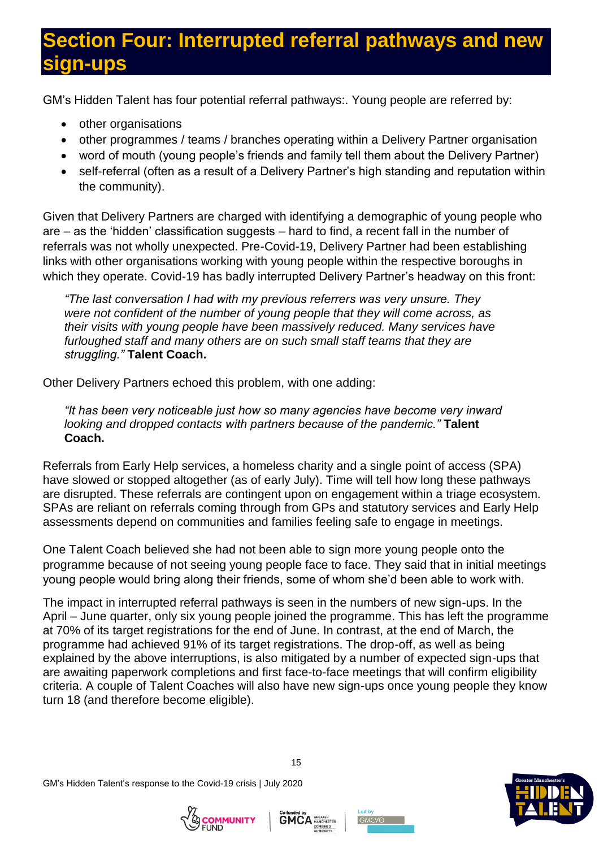# <span id="page-14-0"></span>**Section Four: Interrupted referral pathways and new sign-ups**

GM's Hidden Talent has four potential referral pathways:. Young people are referred by:

- other organisations
- other programmes / teams / branches operating within a Delivery Partner organisation
- word of mouth (young people's friends and family tell them about the Delivery Partner)
- self-referral (often as a result of a Delivery Partner's high standing and reputation within the community).

Given that Delivery Partners are charged with identifying a demographic of young people who are – as the 'hidden' classification suggests – hard to find, a recent fall in the number of referrals was not wholly unexpected. Pre-Covid-19, Delivery Partner had been establishing links with other organisations working with young people within the respective boroughs in which they operate. Covid-19 has badly interrupted Delivery Partner's headway on this front:

*"The last conversation I had with my previous referrers was very unsure. They were not confident of the number of young people that they will come across, as their visits with young people have been massively reduced. Many services have furloughed staff and many others are on such small staff teams that they are struggling."* **Talent Coach.**

Other Delivery Partners echoed this problem, with one adding:

*"It has been very noticeable just how so many agencies have become very inward looking and dropped contacts with partners because of the pandemic."* **Talent Coach.**

Referrals from Early Help services, a homeless charity and a single point of access (SPA) have slowed or stopped altogether (as of early July). Time will tell how long these pathways are disrupted. These referrals are contingent upon on engagement within a triage ecosystem. SPAs are reliant on referrals coming through from GPs and statutory services and Early Help assessments depend on communities and families feeling safe to engage in meetings.

One Talent Coach believed she had not been able to sign more young people onto the programme because of not seeing young people face to face. They said that in initial meetings young people would bring along their friends, some of whom she'd been able to work with.

The impact in interrupted referral pathways is seen in the numbers of new sign-ups. In the April – June quarter, only six young people joined the programme. This has left the programme at 70% of its target registrations for the end of June. In contrast, at the end of March, the programme had achieved 91% of its target registrations. The drop-off, as well as being explained by the above interruptions, is also mitigated by a number of expected sign-ups that are awaiting paperwork completions and first face-to-face meetings that will confirm eligibility criteria. A couple of Talent Coaches will also have new sign-ups once young people they know turn 18 (and therefore become eligible).







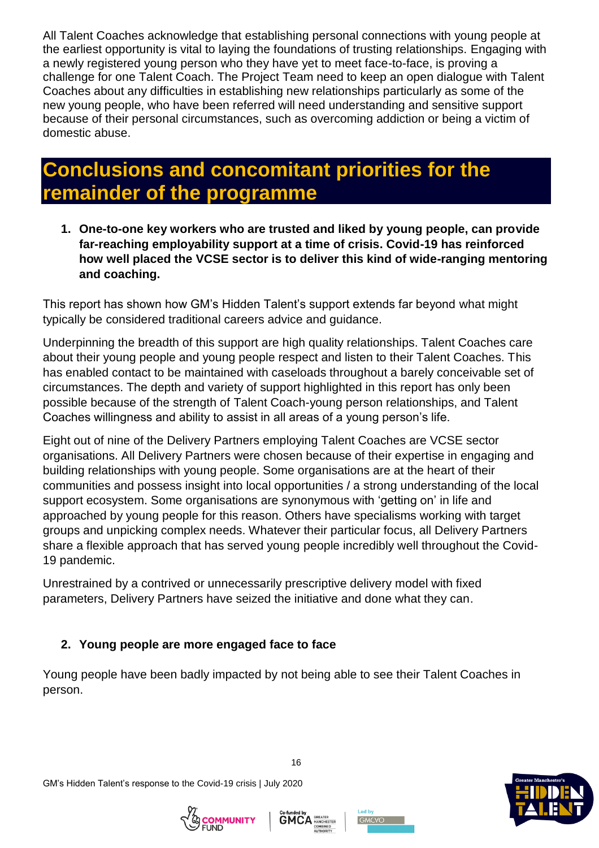All Talent Coaches acknowledge that establishing personal connections with young people at the earliest opportunity is vital to laying the foundations of trusting relationships. Engaging with a newly registered young person who they have yet to meet face-to-face, is proving a challenge for one Talent Coach. The Project Team need to keep an open dialogue with Talent Coaches about any difficulties in establishing new relationships particularly as some of the new young people, who have been referred will need understanding and sensitive support because of their personal circumstances, such as overcoming addiction or being a victim of domestic abuse.

# <span id="page-15-0"></span>**Conclusions and concomitant priorities for the remainder of the programme**

**1. One-to-one key workers who are trusted and liked by young people, can provide far-reaching employability support at a time of crisis. Covid-19 has reinforced how well placed the VCSE sector is to deliver this kind of wide-ranging mentoring and coaching.**

This report has shown how GM's Hidden Talent's support extends far beyond what might typically be considered traditional careers advice and guidance.

Underpinning the breadth of this support are high quality relationships. Talent Coaches care about their young people and young people respect and listen to their Talent Coaches. This has enabled contact to be maintained with caseloads throughout a barely conceivable set of circumstances. The depth and variety of support highlighted in this report has only been possible because of the strength of Talent Coach-young person relationships, and Talent Coaches willingness and ability to assist in all areas of a young person's life.

Eight out of nine of the Delivery Partners employing Talent Coaches are VCSE sector organisations. All Delivery Partners were chosen because of their expertise in engaging and building relationships with young people. Some organisations are at the heart of their communities and possess insight into local opportunities / a strong understanding of the local support ecosystem. Some organisations are synonymous with 'getting on' in life and approached by young people for this reason. Others have specialisms working with target groups and unpicking complex needs. Whatever their particular focus, all Delivery Partners share a flexible approach that has served young people incredibly well throughout the Covid-19 pandemic.

Unrestrained by a contrived or unnecessarily prescriptive delivery model with fixed parameters, Delivery Partners have seized the initiative and done what they can.

### **2. Young people are more engaged face to face**

Young people have been badly impacted by not being able to see their Talent Coaches in person.

GM's Hidden Talent's response to the Covid-19 crisis | July 2020







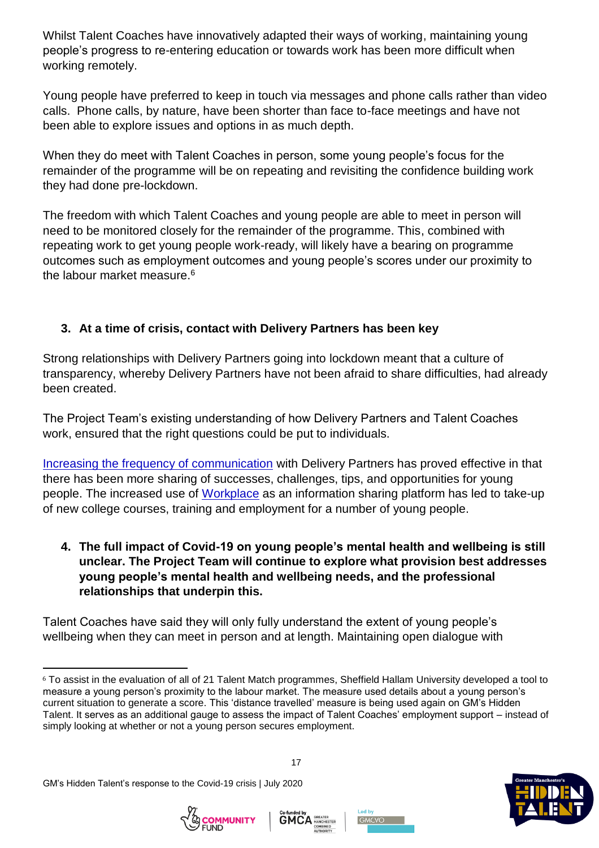Whilst Talent Coaches have innovatively adapted their ways of working, maintaining young people's progress to re-entering education or towards work has been more difficult when working remotely.

Young people have preferred to keep in touch via messages and phone calls rather than video calls. Phone calls, by nature, have been shorter than face to-face meetings and have not been able to explore issues and options in as much depth.

When they do meet with Talent Coaches in person, some young people's focus for the remainder of the programme will be on repeating and revisiting the confidence building work they had done pre-lockdown.

The freedom with which Talent Coaches and young people are able to meet in person will need to be monitored closely for the remainder of the programme. This, combined with repeating work to get young people work-ready, will likely have a bearing on programme outcomes such as employment outcomes and young people's scores under our proximity to the labour market measure.<sup>6</sup>

### **3. At a time of crisis, contact with Delivery Partners has been key**

Strong relationships with Delivery Partners going into lockdown meant that a culture of transparency, whereby Delivery Partners have not been afraid to share difficulties, had already been created.

The Project Team's existing understanding of how Delivery Partners and Talent Coaches work, ensured that the right questions could be put to individuals.

[Increasing the frequency of communication](#page-0-0) with Delivery Partners has proved effective in that there has been more sharing of successes, challenges, tips, and opportunities for young people. The increased use of [Workplace](#page-7-0) as an information sharing platform has led to take-up of new college courses, training and employment for a number of young people.

### **4. The full impact of Covid-19 on young people's mental health and wellbeing is still unclear. The Project Team will continue to explore what provision best addresses young people's mental health and wellbeing needs, and the professional relationships that underpin this.**

Talent Coaches have said they will only fully understand the extent of young people's wellbeing when they can meet in person and at length. Maintaining open dialogue with









l <sup>6</sup> To assist in the evaluation of all of 21 Talent Match programmes, Sheffield Hallam University developed a tool to measure a young person's proximity to the labour market. The measure used details about a young person's current situation to generate a score. This 'distance travelled' measure is being used again on GM's Hidden Talent. It serves as an additional gauge to assess the impact of Talent Coaches' employment support – instead of simply looking at whether or not a young person secures employment.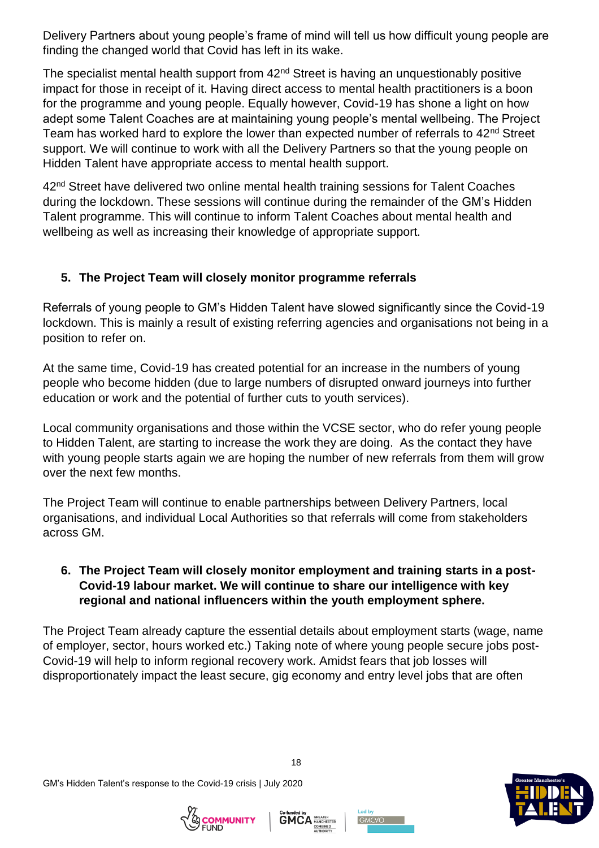Delivery Partners about young people's frame of mind will tell us how difficult young people are finding the changed world that Covid has left in its wake.

The specialist mental health support from 42<sup>nd</sup> Street is having an unquestionably positive impact for those in receipt of it. Having direct access to mental health practitioners is a boon for the programme and young people. Equally however, Covid-19 has shone a light on how adept some Talent Coaches are at maintaining young people's mental wellbeing. The Project Team has worked hard to explore the lower than expected number of referrals to 42<sup>nd</sup> Street support. We will continue to work with all the Delivery Partners so that the young people on Hidden Talent have appropriate access to mental health support.

42<sup>nd</sup> Street have delivered two online mental health training sessions for Talent Coaches during the lockdown. These sessions will continue during the remainder of the GM's Hidden Talent programme. This will continue to inform Talent Coaches about mental health and wellbeing as well as increasing their knowledge of appropriate support.

### **5. The Project Team will closely monitor programme referrals**

Referrals of young people to GM's Hidden Talent have slowed significantly since the Covid-19 lockdown. This is mainly a result of existing referring agencies and organisations not being in a position to refer on.

At the same time, Covid-19 has created potential for an increase in the numbers of young people who become hidden (due to large numbers of disrupted onward journeys into further education or work and the potential of further cuts to youth services).

Local community organisations and those within the VCSE sector, who do refer young people to Hidden Talent, are starting to increase the work they are doing. As the contact they have with young people starts again we are hoping the number of new referrals from them will grow over the next few months.

The Project Team will continue to enable partnerships between Delivery Partners, local organisations, and individual Local Authorities so that referrals will come from stakeholders across GM.

### **6. The Project Team will closely monitor employment and training starts in a post-Covid-19 labour market. We will continue to share our intelligence with key regional and national influencers within the youth employment sphere.**

The Project Team already capture the essential details about employment starts (wage, name of employer, sector, hours worked etc.) Taking note of where young people secure jobs post-Covid-19 will help to inform regional recovery work. Amidst fears that job losses will disproportionately impact the least secure, gig economy and entry level jobs that are often







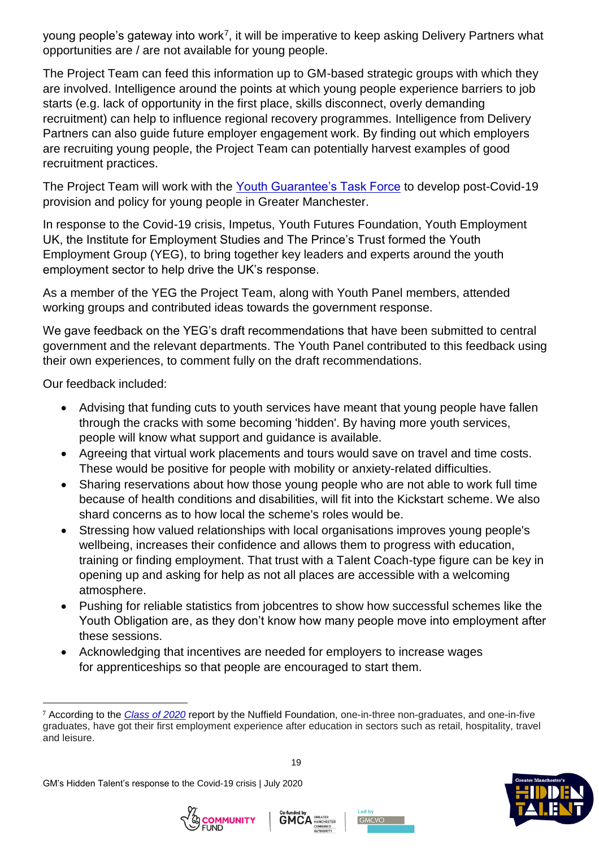young people's gateway into work<sup>7</sup>, it will be imperative to keep asking Delivery Partners what opportunities are / are not available for young people.

The Project Team can feed this information up to GM-based strategic groups with which they are involved. Intelligence around the points at which young people experience barriers to job starts (e.g. lack of opportunity in the first place, skills disconnect, overly demanding recruitment) can help to influence regional recovery programmes. Intelligence from Delivery Partners can also guide future employer engagement work. By finding out which employers are recruiting young people, the Project Team can potentially harvest examples of good recruitment practices.

The Project Team will work with the [Youth Guarantee's Task Force](https://www.greatermanchester-ca.gov.uk/what-we-do/young-people/youth-task-force-and-young-person-s-guarantee/) to develop post-Covid-19 provision and policy for young people in Greater Manchester.

In response to the Covid-19 crisis, Impetus, Youth Futures Foundation, Youth Employment UK, the Institute for Employment Studies and The Prince's Trust formed the Youth Employment Group (YEG), to bring together key leaders and experts around the youth employment sector to help drive the UK's response.

As a member of the YEG the Project Team, along with Youth Panel members, attended working groups and contributed ideas towards the government response.

We gave feedback on the YEG's draft recommendations that have been submitted to central government and the relevant departments. The Youth Panel contributed to this feedback using their own experiences, to comment fully on the draft recommendations.

Our feedback included:

- Advising that funding cuts to youth services have meant that young people have fallen through the cracks with some becoming 'hidden'. By having more youth services, people will know what support and guidance is available.
- Agreeing that virtual work placements and tours would save on travel and time costs. These would be positive for people with mobility or anxiety-related difficulties.
- Sharing reservations about how those young people who are not able to work full time because of health conditions and disabilities, will fit into the Kickstart scheme. We also shard concerns as to how local the scheme's roles would be.
- Stressing how valued relationships with local organisations improves young people's wellbeing, increases their confidence and allows them to progress with education, training or finding employment. That trust with a Talent Coach-type figure can be key in opening up and asking for help as not all places are accessible with a welcoming atmosphere.
- Pushing for reliable statistics from jobcentres to show how successful schemes like the Youth Obligation are, as they don't know how many people move into employment after these sessions.
- Acknowledging that incentives are needed for employers to increase wages for apprenticeships so that people are encouraged to start them.

<sup>7</sup> According to the *[Class of 2020](https://www.nuffieldfoundation.org/news/covid-19-pandemic-could-increase-youth-unemployment-by-600000-this-year)* report by the Nuffield Foundation, one-in-three non-graduates, and one-in-five graduates, have got their first employment experience after education in sectors such as retail, hospitality, travel and leisure.